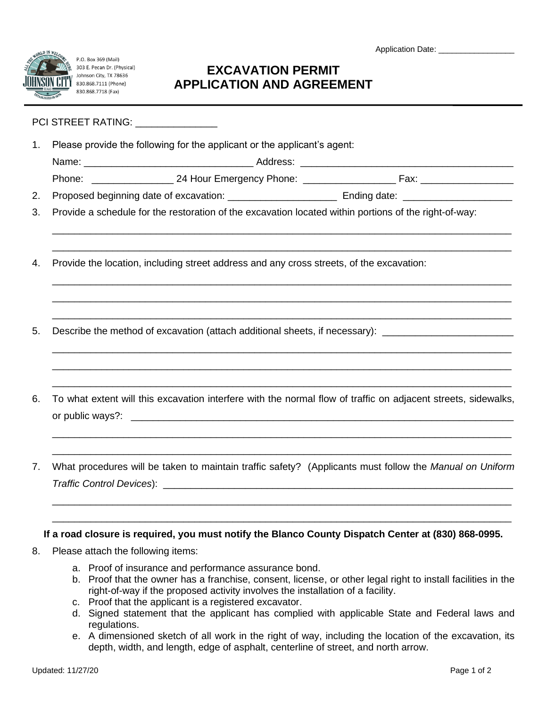P.O. Box 369 (Mail) 303 E. Pecan Dr. (Physical) Johnson City, TX 78636 830.868.7111 (Phone) 830.868.7718 (Fax)

Application Date: \_\_\_\_\_\_\_\_\_\_\_\_\_\_\_

## **EXCAVATION PERMIT APPLICATION AND AGREEMENT**

## PCI STREET RATING: \_\_\_\_\_\_\_\_\_\_\_\_\_\_\_\_

- 1. Please provide the following for the applicant or the applicant's agent:
	- Name: \_\_\_\_\_\_\_\_\_\_\_\_\_\_\_\_\_\_\_\_\_\_\_\_\_\_\_\_\_\_\_ Address: \_\_\_\_\_\_\_\_\_\_\_\_\_\_\_\_\_\_\_\_\_\_\_\_\_\_\_\_\_\_\_\_\_\_\_\_\_\_\_

\_\_\_\_\_\_\_\_\_\_\_\_\_\_\_\_\_\_\_\_\_\_\_\_\_\_\_\_\_\_\_\_\_\_\_\_\_\_\_\_\_\_\_\_\_\_\_\_\_\_\_\_\_\_\_\_\_\_\_\_\_\_\_\_\_\_\_\_\_\_\_\_\_\_\_\_\_\_\_\_\_\_\_\_ \_\_\_\_\_\_\_\_\_\_\_\_\_\_\_\_\_\_\_\_\_\_\_\_\_\_\_\_\_\_\_\_\_\_\_\_\_\_\_\_\_\_\_\_\_\_\_\_\_\_\_\_\_\_\_\_\_\_\_\_\_\_\_\_\_\_\_\_\_\_\_\_\_\_\_\_\_\_\_\_\_\_\_\_

\_\_\_\_\_\_\_\_\_\_\_\_\_\_\_\_\_\_\_\_\_\_\_\_\_\_\_\_\_\_\_\_\_\_\_\_\_\_\_\_\_\_\_\_\_\_\_\_\_\_\_\_\_\_\_\_\_\_\_\_\_\_\_\_\_\_\_\_\_\_\_\_\_\_\_\_\_\_\_\_\_\_\_\_ \_\_\_\_\_\_\_\_\_\_\_\_\_\_\_\_\_\_\_\_\_\_\_\_\_\_\_\_\_\_\_\_\_\_\_\_\_\_\_\_\_\_\_\_\_\_\_\_\_\_\_\_\_\_\_\_\_\_\_\_\_\_\_\_\_\_\_\_\_\_\_\_\_\_\_\_\_\_\_\_\_\_\_\_ \_\_\_\_\_\_\_\_\_\_\_\_\_\_\_\_\_\_\_\_\_\_\_\_\_\_\_\_\_\_\_\_\_\_\_\_\_\_\_\_\_\_\_\_\_\_\_\_\_\_\_\_\_\_\_\_\_\_\_\_\_\_\_\_\_\_\_\_\_\_\_\_\_\_\_\_\_\_\_\_\_\_\_\_

\_\_\_\_\_\_\_\_\_\_\_\_\_\_\_\_\_\_\_\_\_\_\_\_\_\_\_\_\_\_\_\_\_\_\_\_\_\_\_\_\_\_\_\_\_\_\_\_\_\_\_\_\_\_\_\_\_\_\_\_\_\_\_\_\_\_\_\_\_\_\_\_\_\_\_\_\_\_\_\_\_\_\_\_ \_\_\_\_\_\_\_\_\_\_\_\_\_\_\_\_\_\_\_\_\_\_\_\_\_\_\_\_\_\_\_\_\_\_\_\_\_\_\_\_\_\_\_\_\_\_\_\_\_\_\_\_\_\_\_\_\_\_\_\_\_\_\_\_\_\_\_\_\_\_\_\_\_\_\_\_\_\_\_\_\_\_\_\_ \_\_\_\_\_\_\_\_\_\_\_\_\_\_\_\_\_\_\_\_\_\_\_\_\_\_\_\_\_\_\_\_\_\_\_\_\_\_\_\_\_\_\_\_\_\_\_\_\_\_\_\_\_\_\_\_\_\_\_\_\_\_\_\_\_\_\_\_\_\_\_\_\_\_\_\_\_\_\_\_\_\_\_\_

- Phone: \_\_\_\_\_\_\_\_\_\_\_\_\_\_\_ 24 Hour Emergency Phone: \_\_\_\_\_\_\_\_\_\_\_\_\_\_\_\_\_ Fax: \_\_\_\_\_\_\_\_\_\_\_\_\_\_\_\_\_
- 2. Proposed beginning date of excavation: \_\_\_\_\_\_\_\_\_\_\_\_\_\_\_\_\_\_\_\_ Ending date: \_\_\_\_\_\_\_\_\_\_\_\_\_\_\_\_\_\_\_\_
- 3. Provide a schedule for the restoration of the excavation located within portions of the right-of-way:
- 4. Provide the location, including street address and any cross streets, of the excavation:
- 5. Describe the method of excavation (attach additional sheets, if necessary): \_\_\_\_\_\_\_\_\_\_\_\_\_\_\_\_\_\_\_\_
- 6. To what extent will this excavation interfere with the normal flow of traffic on adjacent streets, sidewalks, or public ways?: \_\_\_\_\_\_\_\_\_\_\_\_\_\_\_\_\_\_\_\_\_\_\_\_\_\_\_\_\_\_\_\_\_\_\_\_\_\_\_\_\_\_\_\_\_\_\_\_\_\_\_\_\_\_\_\_\_\_\_\_\_\_\_\_\_\_\_\_\_\_

\_\_\_\_\_\_\_\_\_\_\_\_\_\_\_\_\_\_\_\_\_\_\_\_\_\_\_\_\_\_\_\_\_\_\_\_\_\_\_\_\_\_\_\_\_\_\_\_\_\_\_\_\_\_\_\_\_\_\_\_\_\_\_\_\_\_\_\_\_\_\_\_\_\_\_\_\_\_\_\_\_\_\_\_ \_\_\_\_\_\_\_\_\_\_\_\_\_\_\_\_\_\_\_\_\_\_\_\_\_\_\_\_\_\_\_\_\_\_\_\_\_\_\_\_\_\_\_\_\_\_\_\_\_\_\_\_\_\_\_\_\_\_\_\_\_\_\_\_\_\_\_\_\_\_\_\_\_\_\_\_\_\_\_\_\_\_\_\_

7. What procedures will be taken to maintain traffic safety? (Applicants must follow the *Manual on Uniform Traffic Control Devices*): \_\_\_\_\_\_\_\_\_\_\_\_\_\_\_\_\_\_\_\_\_\_\_\_\_\_\_\_\_\_\_\_\_\_\_\_\_\_\_\_\_\_\_\_\_\_\_\_\_\_\_\_\_\_\_\_\_\_\_\_\_\_\_\_

\_\_\_\_\_\_\_\_\_\_\_\_\_\_\_\_\_\_\_\_\_\_\_\_\_\_\_\_\_\_\_\_\_\_\_\_\_\_\_\_\_\_\_\_\_\_\_\_\_\_\_\_\_\_\_\_\_\_\_\_\_\_\_\_\_\_\_\_\_\_\_\_\_\_\_\_\_\_\_\_\_\_\_\_ \_\_\_\_\_\_\_\_\_\_\_\_\_\_\_\_\_\_\_\_\_\_\_\_\_\_\_\_\_\_\_\_\_\_\_\_\_\_\_\_\_\_\_\_\_\_\_\_\_\_\_\_\_\_\_\_\_\_\_\_\_\_\_\_\_\_\_\_\_\_\_\_\_\_\_\_\_\_\_\_\_\_\_\_

## **If a road closure is required, you must notify the Blanco County Dispatch Center at (830) 868-0995.**

- 8. Please attach the following items:
	- a. Proof of insurance and performance assurance bond.
	- b. Proof that the owner has a franchise, consent, license, or other legal right to install facilities in the right-of-way if the proposed activity involves the installation of a facility.
	- c. Proof that the applicant is a registered excavator.
	- d. Signed statement that the applicant has complied with applicable State and Federal laws and regulations.
	- e. A dimensioned sketch of all work in the right of way, including the location of the excavation, its depth, width, and length, edge of asphalt, centerline of street, and north arrow.